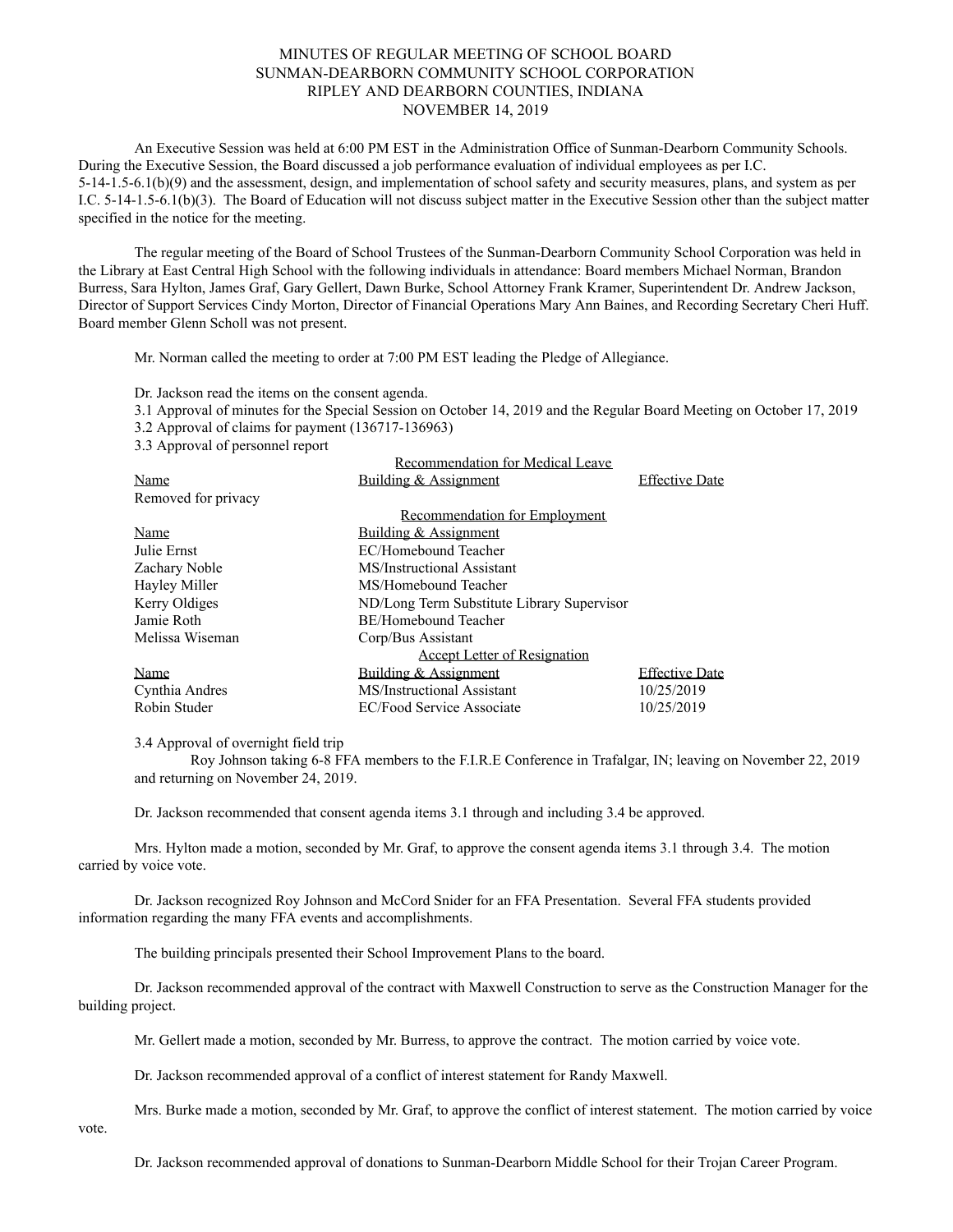## MINUTES OF REGULAR MEETING OF SCHOOL BOARD SUNMAN-DEARBORN COMMUNITY SCHOOL CORPORATION RIPLEY AND DEARBORN COUNTIES, INDIANA NOVEMBER 14, 2019

An Executive Session was held at 6:00 PM EST in the Administration Office of Sunman-Dearborn Community Schools. During the Executive Session, the Board discussed a job performance evaluation of individual employees as per I.C. 5-14-1.5-6.1(b)(9) and the assessment, design, and implementation of school safety and security measures, plans, and system as per I.C. 5-14-1.5-6.1(b)(3). The Board of Education will not discuss subject matter in the Executive Session other than the subject matter specified in the notice for the meeting.

The regular meeting of the Board of School Trustees of the Sunman-Dearborn Community School Corporation was held in the Library at East Central High School with the following individuals in attendance: Board members Michael Norman, Brandon Burress, Sara Hylton, James Graf, Gary Gellert, Dawn Burke, School Attorney Frank Kramer, Superintendent Dr. Andrew Jackson, Director of Support Services Cindy Morton, Director of Financial Operations Mary Ann Baines, and Recording Secretary Cheri Huff. Board member Glenn Scholl was not present.

Mr. Norman called the meeting to order at 7:00 PM EST leading the Pledge of Allegiance.

Dr. Jackson read the items on the consent agenda.

3.1 Approval of minutes for the Special Session on October 14, 2019 and the Regular Board Meeting on October 17, 2019

3.2 Approval of claims for payment (136717-136963)

3.3 Approval of personnel report

|                     | Recommendation for Medical Leave           |                       |
|---------------------|--------------------------------------------|-----------------------|
| Name                | Building & Assignment                      | <b>Effective Date</b> |
| Removed for privacy |                                            |                       |
|                     | Recommendation for Employment              |                       |
| Name                | Building & Assignment                      |                       |
| Julie Ernst         | EC/Homebound Teacher                       |                       |
| Zachary Noble       | MS/Instructional Assistant                 |                       |
| Hayley Miller       | MS/Homebound Teacher                       |                       |
| Kerry Oldiges       | ND/Long Term Substitute Library Supervisor |                       |
| Jamie Roth          | BE/Homebound Teacher                       |                       |
| Melissa Wiseman     | Corp/Bus Assistant                         |                       |
|                     | <b>Accept Letter of Resignation</b>        |                       |
| Name                | Building & Assignment                      | <b>Effective Date</b> |
| Cynthia Andres      | MS/Instructional Assistant                 | 10/25/2019            |
| Robin Studer        | <b>EC/Food Service Associate</b>           | 10/25/2019            |

3.4 Approval of overnight field trip

Roy Johnson taking 6-8 FFA members to the F.I.R.E Conference in Trafalgar, IN; leaving on November 22, 2019 and returning on November 24, 2019.

Dr. Jackson recommended that consent agenda items 3.1 through and including 3.4 be approved.

Mrs. Hylton made a motion, seconded by Mr. Graf, to approve the consent agenda items 3.1 through 3.4. The motion carried by voice vote.

Dr. Jackson recognized Roy Johnson and McCord Snider for an FFA Presentation. Several FFA students provided information regarding the many FFA events and accomplishments.

The building principals presented their School Improvement Plans to the board.

Dr. Jackson recommended approval of the contract with Maxwell Construction to serve as the Construction Manager for the building project.

Mr. Gellert made a motion, seconded by Mr. Burress, to approve the contract. The motion carried by voice vote.

Dr. Jackson recommended approval of a conflict of interest statement for Randy Maxwell.

Mrs. Burke made a motion, seconded by Mr. Graf, to approve the conflict of interest statement. The motion carried by voice

vote.

Dr. Jackson recommended approval of donations to Sunman-Dearborn Middle School for their Trojan Career Program.